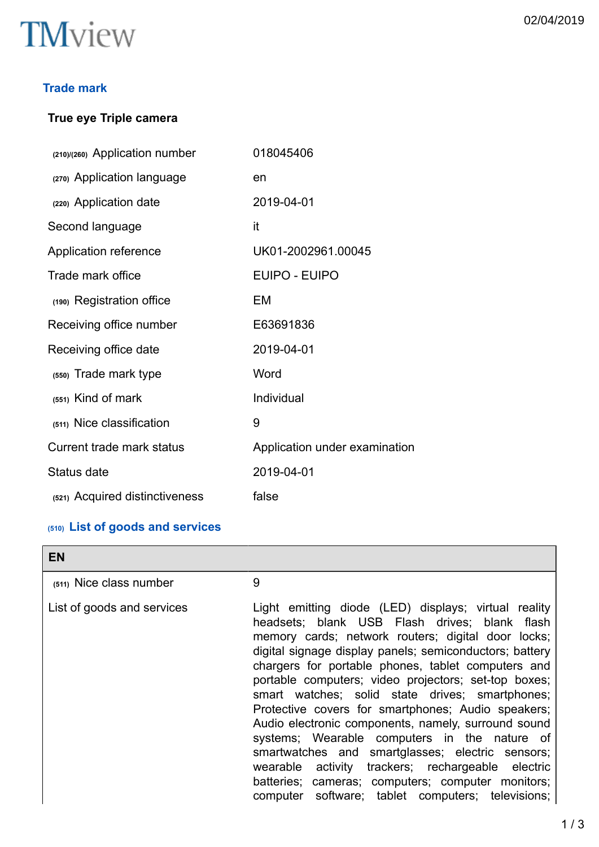# **TM**view

### **Trade mark**

# **True eye Triple camera**

| (210)/(260) Application number   | 018045406                     |
|----------------------------------|-------------------------------|
| (270) Application language       | en                            |
| (220) Application date           | 2019-04-01                    |
| Second language                  | it                            |
| Application reference            | UK01-2002961.00045            |
| Trade mark office                | <b>EUIPO - EUIPO</b>          |
| (190) Registration office        | EM                            |
| Receiving office number          | E63691836                     |
| Receiving office date            | 2019-04-01                    |
| (550) Trade mark type            | Word                          |
| (551) Kind of mark               | Individual                    |
| (511) Nice classification        | 9                             |
| <b>Current trade mark status</b> | Application under examination |
| Status date                      | 2019-04-01                    |
| (521) Acquired distinctiveness   | false                         |

# **(510) List of goods and services**

| <b>EN</b>                  |                                                                                                                                                                                                                                                                                                                                                                                                                                                                                                                                                                                                                                                                                                                                                                         |
|----------------------------|-------------------------------------------------------------------------------------------------------------------------------------------------------------------------------------------------------------------------------------------------------------------------------------------------------------------------------------------------------------------------------------------------------------------------------------------------------------------------------------------------------------------------------------------------------------------------------------------------------------------------------------------------------------------------------------------------------------------------------------------------------------------------|
| (511) Nice class number    | 9                                                                                                                                                                                                                                                                                                                                                                                                                                                                                                                                                                                                                                                                                                                                                                       |
| List of goods and services | Light emitting diode (LED) displays; virtual reality<br>headsets; blank USB Flash drives; blank flash<br>memory cards; network routers; digital door locks;<br>digital signage display panels; semiconductors; battery<br>chargers for portable phones, tablet computers and<br>portable computers; video projectors; set-top boxes;<br>smart watches; solid state drives; smartphones;<br>Protective covers for smartphones; Audio speakers;<br>Audio electronic components, namely, surround sound<br>systems; Wearable computers in the nature of<br>smartwatches and smartglasses; electric sensors;<br>wearable activity trackers; rechargeable electric<br>batteries; cameras; computers; computer monitors;<br>computer software; tablet computers; televisions; |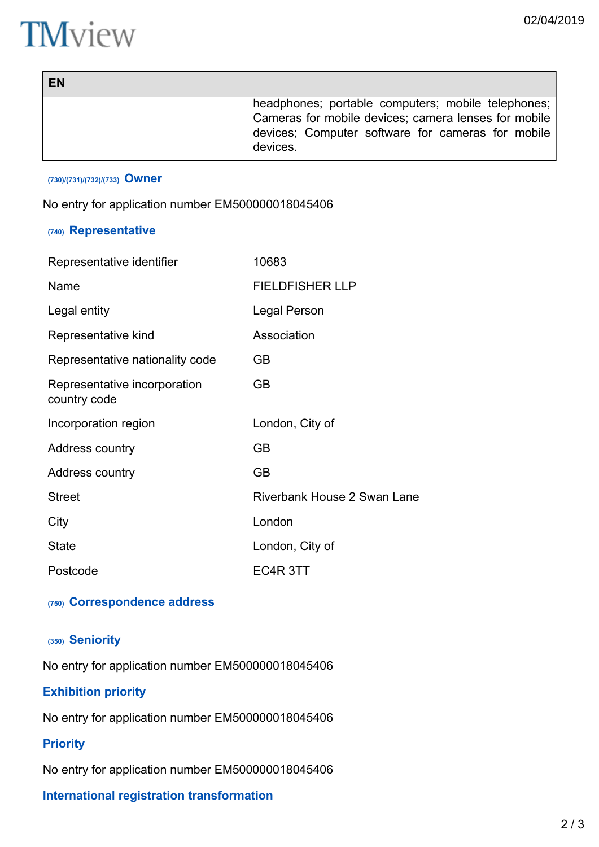┑

# **TM**view

| EN |                                                                                                                                                                               |
|----|-------------------------------------------------------------------------------------------------------------------------------------------------------------------------------|
|    | headphones; portable computers; mobile telephones;  <br>Cameras for mobile devices; camera lenses for mobile<br>devices; Computer software for cameras for mobile<br>devices. |

#### **(730)/(731)/(732)/(733) Owner**

No entry for application number EM500000018045406

### **(740) Representative**

| Representative identifier                    | 10683                       |
|----------------------------------------------|-----------------------------|
| Name                                         | <b>FIELDFISHER LLP</b>      |
| Legal entity                                 | Legal Person                |
| Representative kind                          | Association                 |
| Representative nationality code              | GВ                          |
| Representative incorporation<br>country code | <b>GB</b>                   |
| Incorporation region                         | London, City of             |
| Address country                              | GВ                          |
| Address country                              | GB                          |
| <b>Street</b>                                | Riverbank House 2 Swan Lane |
| City                                         | London                      |
| <b>State</b>                                 | London, City of             |
| Postcode                                     | EC4R 3TT                    |

#### **(750) Correspondence address**

#### **(350) Seniority**

No entry for application number EM500000018045406

## **Exhibition priority**

No entry for application number EM500000018045406

#### **Priority**

No entry for application number EM500000018045406

### **International registration transformation**